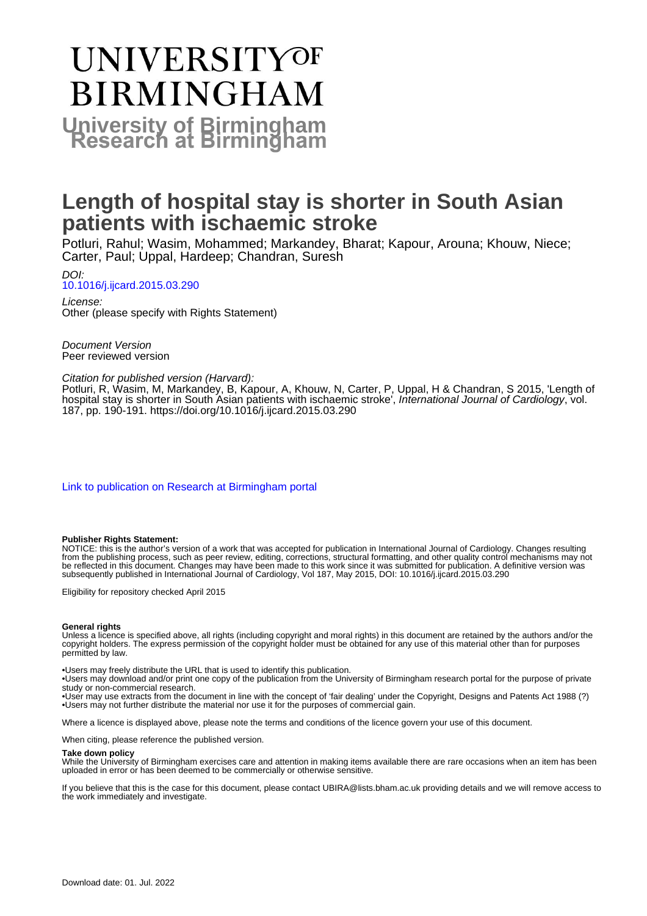# UNIVERSITYOF **BIRMINGHAM University of Birmingham**

### **Length of hospital stay is shorter in South Asian patients with ischaemic stroke**

Potluri, Rahul; Wasim, Mohammed; Markandey, Bharat; Kapour, Arouna; Khouw, Niece; Carter, Paul; Uppal, Hardeep; Chandran, Suresh

DOI: [10.1016/j.ijcard.2015.03.290](https://doi.org/10.1016/j.ijcard.2015.03.290)

License: Other (please specify with Rights Statement)

Document Version Peer reviewed version

#### Citation for published version (Harvard):

Potluri, R, Wasim, M, Markandey, B, Kapour, A, Khouw, N, Carter, P, Uppal, H & Chandran, S 2015, 'Length of hospital stay is shorter in South Asian patients with ischaemic stroke', International Journal of Cardiology, vol. 187, pp. 190-191.<https://doi.org/10.1016/j.ijcard.2015.03.290>

[Link to publication on Research at Birmingham portal](https://birmingham.elsevierpure.com/en/publications/5055961a-9b88-4618-93db-a40fbe62d284)

#### **Publisher Rights Statement:**

NOTICE: this is the author's version of a work that was accepted for publication in International Journal of Cardiology. Changes resulting from the publishing process, such as peer review, editing, corrections, structural formatting, and other quality control mechanisms may not be reflected in this document. Changes may have been made to this work since it was submitted for publication. A definitive version was subsequently published in International Journal of Cardiology, Vol 187, May 2015, DOI: 10.1016/j.ijcard.2015.03.290

Eligibility for repository checked April 2015

#### **General rights**

Unless a licence is specified above, all rights (including copyright and moral rights) in this document are retained by the authors and/or the copyright holders. The express permission of the copyright holder must be obtained for any use of this material other than for purposes permitted by law.

• Users may freely distribute the URL that is used to identify this publication.

• Users may download and/or print one copy of the publication from the University of Birmingham research portal for the purpose of private study or non-commercial research.

• User may use extracts from the document in line with the concept of 'fair dealing' under the Copyright, Designs and Patents Act 1988 (?) • Users may not further distribute the material nor use it for the purposes of commercial gain.

Where a licence is displayed above, please note the terms and conditions of the licence govern your use of this document.

When citing, please reference the published version.

#### **Take down policy**

While the University of Birmingham exercises care and attention in making items available there are rare occasions when an item has been uploaded in error or has been deemed to be commercially or otherwise sensitive.

If you believe that this is the case for this document, please contact UBIRA@lists.bham.ac.uk providing details and we will remove access to the work immediately and investigate.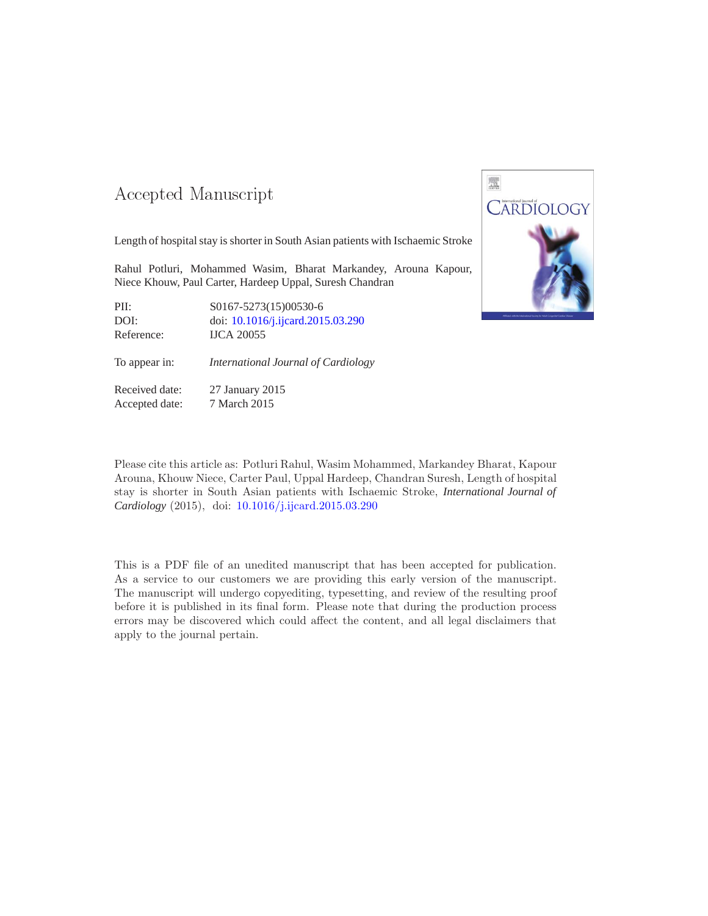### -- -

Length of hospital stay is shorter in South Asian patients with Ischaemic Stroke

Rahul Potluri, Mohammed Wasim, Bharat Markandey, Arouna Kapour, Niece Khouw, Paul Carter, Hardeep Uppal, Suresh Chandran

PII: S0167-5273(15)00530-6 DOI: doi: [10.1016/j.ijcard.2015.03.290](http://dx.doi.org/10.1016/j.ijcard.2015.03.290) Reference: IJCA 20055

To appear in: *International Journal of Cardiology*

Received date: 27 January 2015 Accepted date: 7 March 2015



Please cite this article as: Potluri Rahul, Wasim Mohammed, Markandey Bharat, Kapour Arouna, Khouw Niece, Carter Paul, Uppal Hardeep, Chandran Suresh, Length of hospital stay is shorter in South Asian patients with Ischaemic Stroke, *International Journal of Cardiology* (2015), doi: [10.1016/j.ijcard.2015.03.290](http://dx.doi.org/10.1016/j.ijcard.2015.03.290)

This is a PDF file of an unedited manuscript that has been accepted for publication. As a service to our customers we are providing this early version of the manuscript. The manuscript will undergo copyediting, typesetting, and review of the resulting proof before it is published in its final form. Please note that during the production process errors may be discovered which could affect the content, and all legal disclaimers that apply to the journal pertain.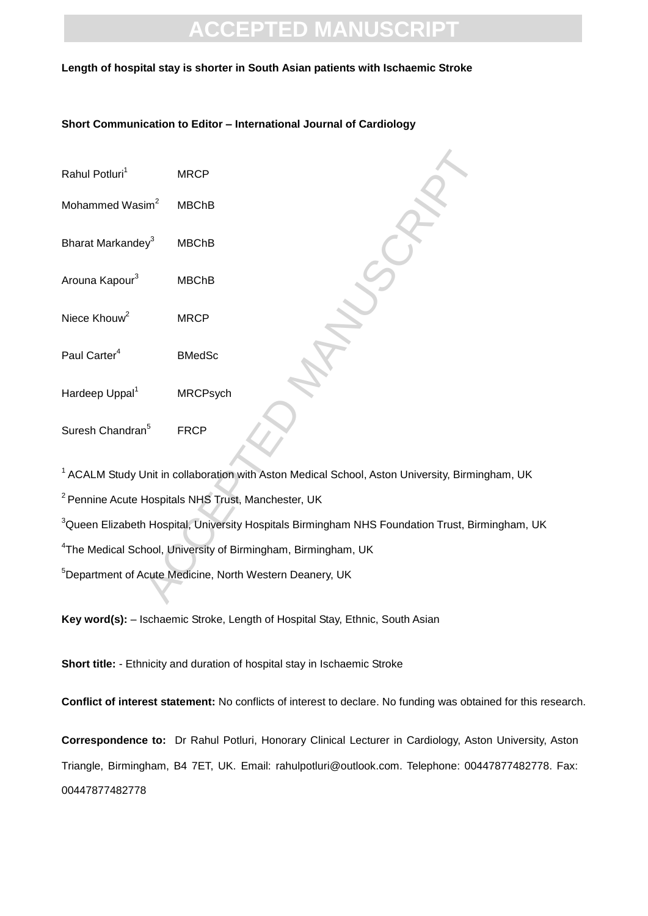### **Length of hospital stay is shorter in South Asian patients with Ischaemic Stroke**

### **Short Communication to Editor – International Journal of Cardiology**

- Rahul Potluri $<sup>1</sup>$ </sup>
- Mohammed Wasim $<sup>2</sup>$ </sup>
- Bharat Markandey<sup>3</sup>
- Arouna Kapour<sup>3</sup>
- Niece Khouw<sup>2</sup>
- Paul Carter<sup>4</sup> BMedSc
- MBChB<br>
MBChB<br>
MBChB<br>
MRCP<br>
MRCP<br>
BMedSc<br>
MRCPsych Hardeep Uppal<sup>1</sup>
- Suresh Chandran<sup>5</sup> FRCP

<sup>1</sup> ACALM Study Unit in collaboration with Aston Medical School, Aston University, Birmingham, UK <sup>2</sup> Pennine Acute Hospitals NHS Trust, Manchester, UK

<sup>3</sup>Queen Elizabeth Hospital, University Hospitals Birmingham NHS Foundation Trust, Birmingham, UK

<sup>4</sup>The Medical School, University of Birmingham, Birmingham, UK

<sup>5</sup>Department of Acute Medicine, North Western Deanery, UK

**Key word(s):** – Ischaemic Stroke, Length of Hospital Stay, Ethnic, South Asian

**Short title:** - Ethnicity and duration of hospital stay in Ischaemic Stroke

**Conflict of interest statement:** No conflicts of interest to declare. No funding was obtained for this research.

**Correspondence to:** Dr Rahul Potluri, Honorary Clinical Lecturer in Cardiology, Aston University, Aston Triangle, Birmingham, B4 7ET, UK. Email: rahulpotluri@outlook.com. Telephone: 00447877482778. Fax: 00447877482778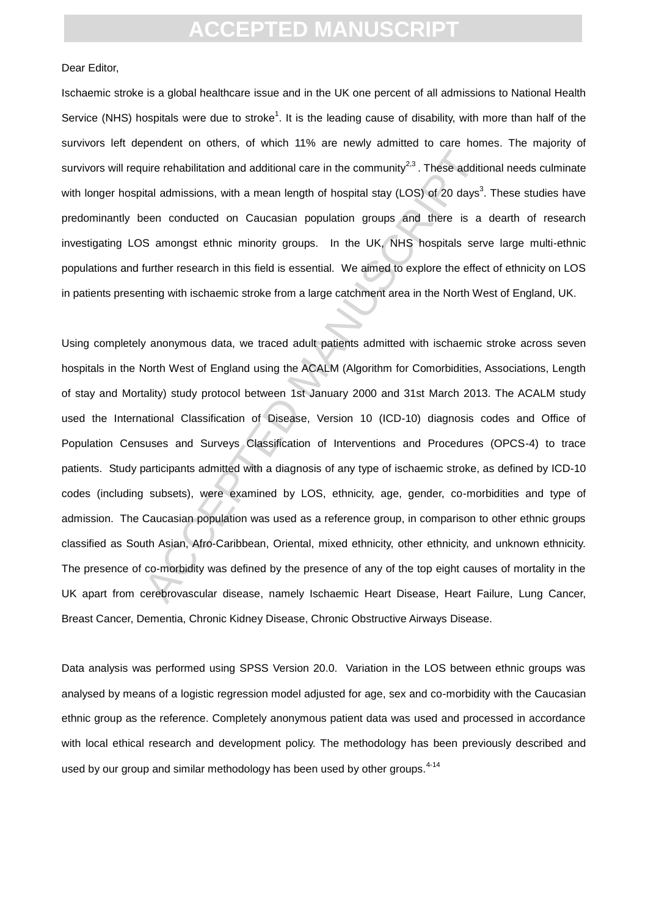#### Dear Editor,

Ischaemic stroke is a global healthcare issue and in the UK one percent of all admissions to National Health Service (NHS) hospitals were due to stroke<sup>1</sup>. It is the leading cause of disability, with more than half of the survivors left dependent on others, of which 11% are newly admitted to care homes. The majority of survivors will require rehabilitation and additional care in the community<sup>2,3</sup>. These additional needs culminate with longer hospital admissions, with a mean length of hospital stay (LOS) of 20 days<sup>3</sup>. These studies have predominantly been conducted on Caucasian population groups and there is a dearth of research investigating LOS amongst ethnic minority groups. In the UK, NHS hospitals serve large multi-ethnic populations and further research in this field is essential. We aimed to explore the effect of ethnicity on LOS in patients presenting with ischaemic stroke from a large catchment area in the North West of England, UK.

uire rehabilitation and additional care in the community<sup>23</sup>. These additional care in the community<sup>23</sup>. These additional chalce its divertistical admissions, with a mean length of hospital stay (LOS) of 20 days<sup>3</sup>. Seen Using completely anonymous data, we traced adult patients admitted with ischaemic stroke across seven hospitals in the North West of England using the ACALM (Algorithm for Comorbidities, Associations, Length of stay and Mortality) study protocol between 1st January 2000 and 31st March 2013. The ACALM study used the International Classification of Disease, Version 10 (ICD-10) diagnosis codes and Office of Population Censuses and Surveys Classification of Interventions and Procedures (OPCS-4) to trace patients. Study participants admitted with a diagnosis of any type of ischaemic stroke, as defined by ICD-10 codes (including subsets), were examined by LOS, ethnicity, age, gender, co-morbidities and type of admission. The Caucasian population was used as a reference group, in comparison to other ethnic groups classified as South Asian, Afro-Caribbean, Oriental, mixed ethnicity, other ethnicity, and unknown ethnicity. The presence of co-morbidity was defined by the presence of any of the top eight causes of mortality in the UK apart from cerebrovascular disease, namely Ischaemic Heart Disease, Heart Failure, Lung Cancer, Breast Cancer, Dementia, Chronic Kidney Disease, Chronic Obstructive Airways Disease.

Data analysis was performed using SPSS Version 20.0. Variation in the LOS between ethnic groups was analysed by means of a logistic regression model adjusted for age, sex and co-morbidity with the Caucasian ethnic group as the reference. Completely anonymous patient data was used and processed in accordance with local ethical research and development policy. The methodology has been previously described and used by our group and similar methodology has been used by other groups.<sup>4-14</sup>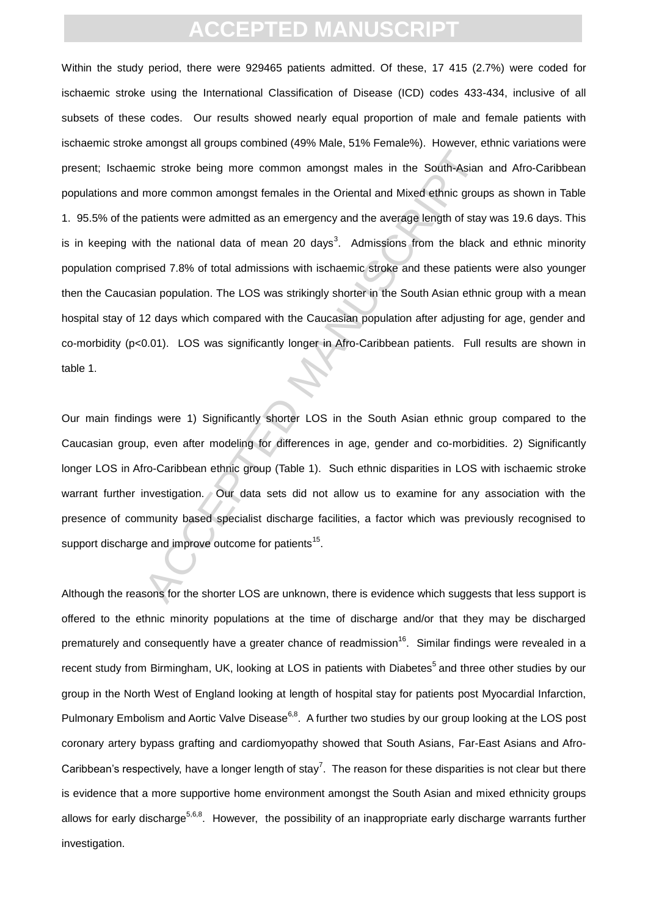mic stroke being more common amongst males in the South-Asian<br>more common amongst females in the Oriental and Mixed ethnic group<br>aptients were admitted as an emergency and the average length of stay<br>th the national data of Within the study period, there were 929465 patients admitted. Of these, 17 415 (2.7%) were coded for ischaemic stroke using the International Classification of Disease (ICD) codes 433-434, inclusive of all subsets of these codes. Our results showed nearly equal proportion of male and female patients with ischaemic stroke amongst all groups combined (49% Male, 51% Female%). However, ethnic variations were present; Ischaemic stroke being more common amongst males in the South-Asian and Afro-Caribbean populations and more common amongst females in the Oriental and Mixed ethnic groups as shown in Table 1. 95.5% of the patients were admitted as an emergency and the average length of stay was 19.6 days. This is in keeping with the national data of mean 20 days<sup>3</sup>. Admissions from the black and ethnic minority population comprised 7.8% of total admissions with ischaemic stroke and these patients were also younger then the Caucasian population. The LOS was strikingly shorter in the South Asian ethnic group with a mean hospital stay of 12 days which compared with the Caucasian population after adjusting for age, gender and co-morbidity (p<0.01). LOS was significantly longer in Afro-Caribbean patients. Full results are shown in table 1.

Our main findings were 1) Significantly shorter LOS in the South Asian ethnic group compared to the Caucasian group, even after modeling for differences in age, gender and co-morbidities. 2) Significantly longer LOS in Afro-Caribbean ethnic group (Table 1). Such ethnic disparities in LOS with ischaemic stroke warrant further investigation. Our data sets did not allow us to examine for any association with the presence of community based specialist discharge facilities, a factor which was previously recognised to support discharge and improve outcome for patients<sup>15</sup>.

Although the reasons for the shorter LOS are unknown, there is evidence which suggests that less support is offered to the ethnic minority populations at the time of discharge and/or that they may be discharged prematurely and consequently have a greater chance of readmission<sup>16</sup>. Similar findings were revealed in a recent study from Birmingham, UK, looking at LOS in patients with Diabetes<sup>5</sup> and three other studies by our group in the North West of England looking at length of hospital stay for patients post Myocardial Infarction, Pulmonary Embolism and Aortic Valve Disease<sup>6,8</sup>. A further two studies by our group looking at the LOS post coronary artery bypass grafting and cardiomyopathy showed that South Asians, Far-East Asians and Afro-Caribbean's respectively, have a longer length of stay<sup>7</sup>. The reason for these disparities is not clear but there is evidence that a more supportive home environment amongst the South Asian and mixed ethnicity groups allows for early discharge<sup>5,6,8</sup>. However, the possibility of an inappropriate early discharge warrants further investigation.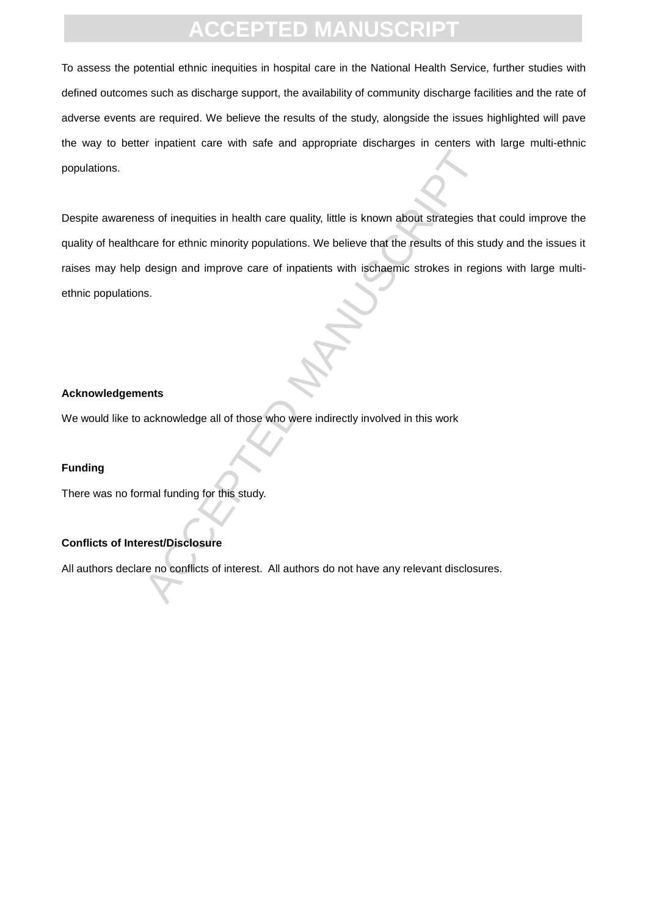# **D MANU**

To assess the potential ethnic inequities in hospital care in the National Health Service, further studies with defined outcomes such as discharge support, the availability of community discharge facilities and the rate of adverse events are required. We believe the results of the study, alongside the issues highlighted will pave the way to better inpatient care with safe and appropriate discharges in centers with large multi-ethnic populations.

Standard in health care quality, little is known about strategies the<br>are for ethnic minority populations. We believe that the results of this st<br>design and improve care of inpatients with ischaemic strokes in regions.<br>S.<br> Despite awareness of inequities in health care quality, little is known about strategies that could improve the quality of healthcare for ethnic minority populations. We believe that the results of this study and the issues it raises may help design and improve care of inpatients with ischaemic strokes in regions with large multiethnic populations.

#### **Acknowledgements**

We would like to acknowledge all of those who were indirectly involved in this work

### **Funding**

There was no formal funding for this study.

### **Conflicts of Interest/Disclosure**

All authors declare no conflicts of interest. All authors do not have any relevant disclosures.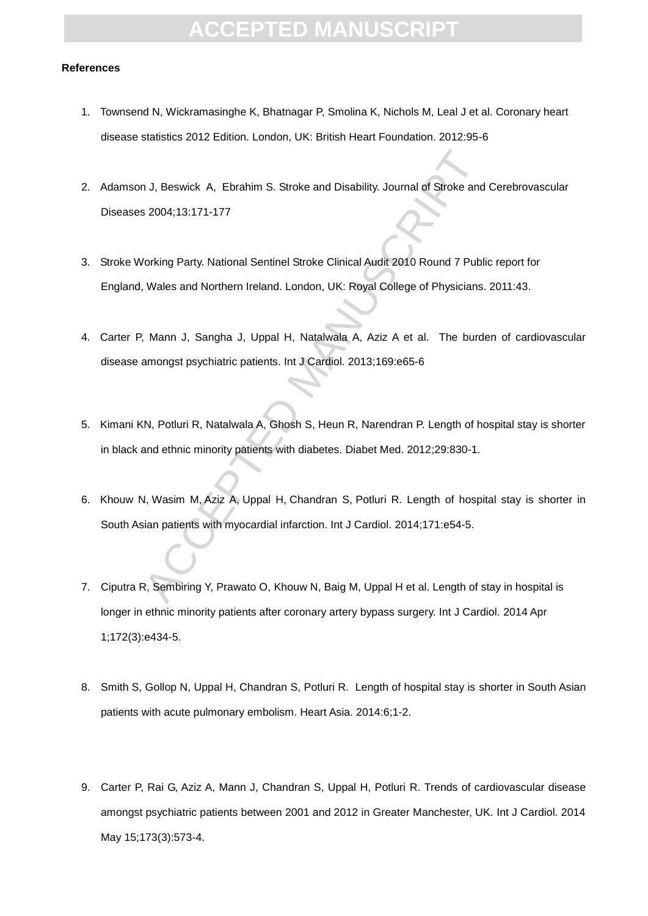## **TED MAN**

#### **References**

- 1. Townsend N, Wickramasinghe K, Bhatnagar P, Smolina K, Nichols M, Leal J et al. Coronary heart disease statistics 2012 Edition. London, UK: British Heart Foundation. 2012:95-6
- 2. Adamson J, Beswick A, Ebrahim S. Stroke and Disability. Journal of Stroke and Cerebrovascular Diseases 2004;13:171-177
- 3. Stroke Working Party. National Sentinel Stroke Clinical Audit 2010 Round 7 Public report for England, Wales and Northern Ireland. London, UK: Royal College of Physicians. 2011:43.
- 4. Carter P, Mann J, Sangha J, Uppal H, Natalwala A, Aziz A et al. The burden of cardiovascular disease amongst psychiatric patients. Int J Cardiol. 2013;169:e65-6
- n J, Beswick A, Ebrahim S. Stroke and Disability. Journal of Stroke and<br>
s 2004;13:171-177<br>
Vorking Party. National Sentinel Stroke Clinical Audit 2010 Round 7 Publ<br>
Wales and Northern Ireland. London, UK: Royal College of 5. Kimani KN, Potluri R, Natalwala A, Ghosh S, Heun R, Narendran P. Length of hospital stay is shorter in black and ethnic minority patients with diabetes. Diabet Med. 2012;29:830-1.
- 6. Khouw N, Wasim M, Aziz A, Uppal H, Chandran S, Potluri R. Length of hospital stay is shorter in South Asian patients with myocardial infarction. Int J Cardiol. 2014;171:e54-5.
- 7. Ciputra R, Sembiring Y, Prawato O, Khouw N, Baig M, Uppal H et al. Length of stay in hospital is longer in ethnic minority patients after coronary artery bypass surgery. Int J Cardiol. 2014 Apr 1;172(3):e434-5.
- 8. Smith S, Gollop N, Uppal H, Chandran S, Potluri R. Length of hospital stay is shorter in South Asian patients with acute pulmonary embolism. Heart Asia. 2014:6;1-2.
- 9. Carter P, Rai G, Aziz A, Mann J, Chandran S, Uppal H, Potluri R. Trends of cardiovascular disease amongst psychiatric patients between 2001 and 2012 in Greater Manchester, UK. Int J Cardiol. 2014 May 15;173(3):573-4.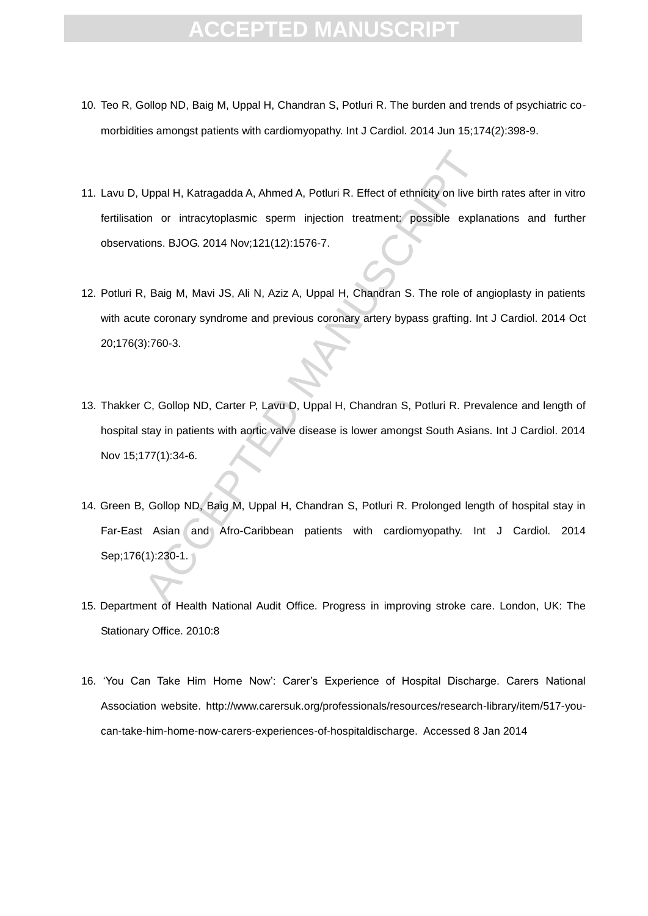- 10. Teo R, Gollop ND, Baig M, Uppal H, Chandran S, Potluri R. The burden and trends of psychiatric comorbidities amongst patients with cardiomyopathy. Int J Cardiol. 2014 Jun 15;174(2):398-9.
- 11. Lavu D, Uppal H, Katragadda A, Ahmed A, Potluri R. Effect of ethnicity on live birth rates after in vitro fertilisation or intracytoplasmic sperm injection treatment: possible explanations and further observations. BJOG. 2014 Nov;121(12):1576-7.
- Uppal H, Katragadda A, Ahmed A, Potluri R. Effect of ethnicity on live bion or intracytoplasmic sperm injection treatment: possible explained and provided in the metal manuscript of the coronary syndrome and previous coron 12. Potluri R, Baig M, Mavi JS, Ali N, Aziz A, Uppal H, Chandran S. The role of angioplasty in patients with acute coronary syndrome and previous coronary artery bypass grafting. Int J Cardiol. 2014 Oct 20;176(3):760-3.
- 13. Thakker C, Gollop ND, Carter P, Lavu D, Uppal H, Chandran S, Potluri R. Prevalence and length of hospital stay in patients with aortic valve disease is lower amongst South Asians. Int J Cardiol. 2014 Nov 15;177(1):34-6.
- 14. Green B, Gollop ND, Baig M, Uppal H, Chandran S, Potluri R. Prolonged length of hospital stay in Far-East Asian and Afro-Caribbean patients with cardiomyopathy. Int J Cardiol. 2014 Sep;176(1):230-1.
- 15. Department of Health National Audit Office. Progress in improving stroke care. London, UK: The Stationary Office. 2010:8
- 16. 'You Can Take Him Home Now': Carer's Experience of Hospital Discharge. Carers National Association website. http://www.carersuk.org/professionals/resources/research-library/item/517-youcan-take-him-home-now-carers-experiences-of-hospitaldischarge. Accessed 8 Jan 2014